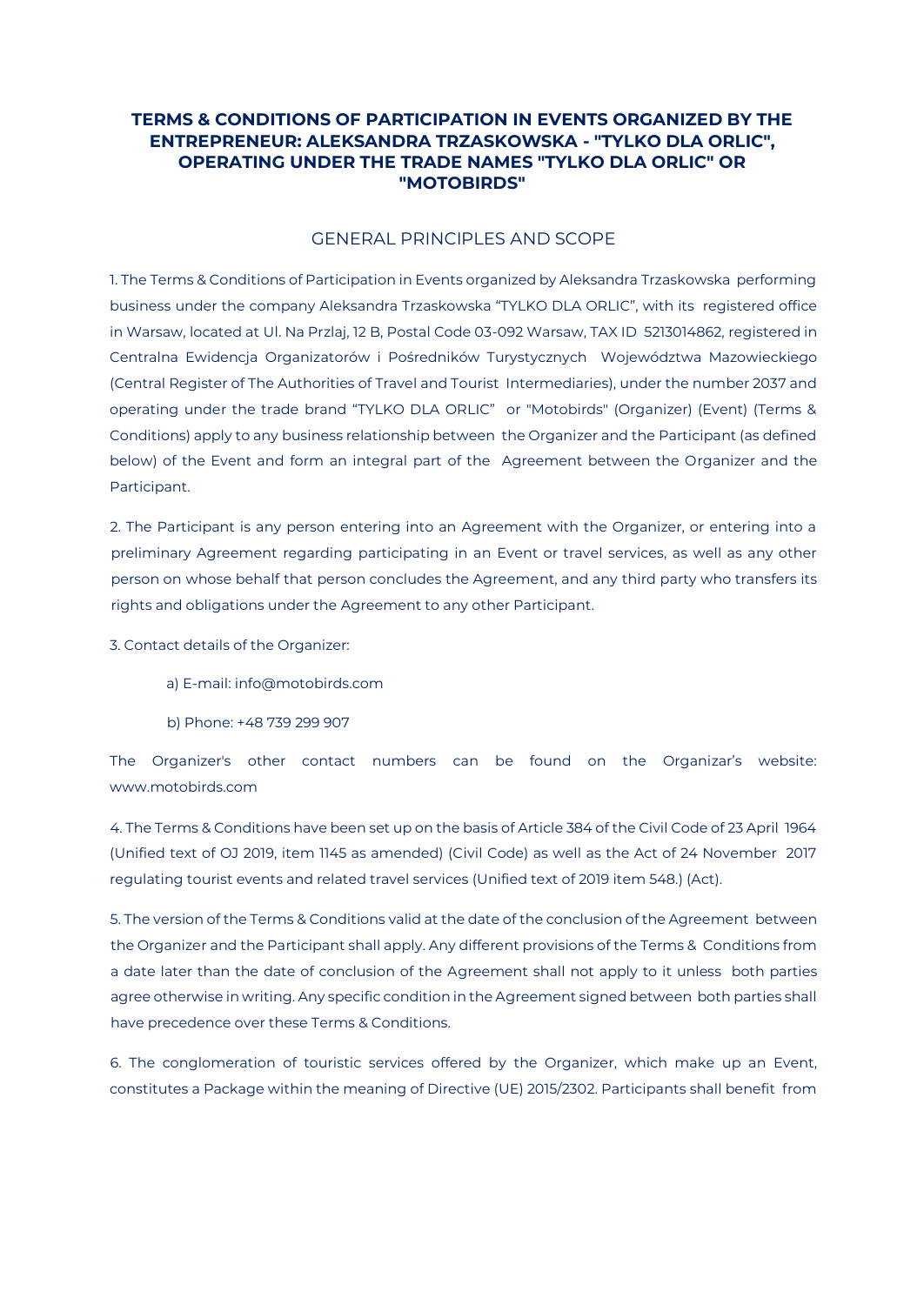# **TERMS & CONDITIONS OF PARTICIPATION IN EVENTS ORGANIZED BY THE ENTREPRENEUR: ALEKSANDRA TRZASKOWSKA - "TYLKO DLA ORLIC", OPERATING UNDER THE TRADE NAMES "TYLKO DLA ORLIC" OR "MOTOBIRDS"**

#### GENERAL PRINCIPLES AND SCOPE

1. The Terms & Conditions of Participation in Events organized by Aleksandra Trzaskowska performing business under the company Aleksandra Trzaskowska "TYLKO DLA ORLIC", with its registered office in Warsaw, located at Ul. Na Przlaj, 12 B, Postal Code 03-092 Warsaw, TAX ID 5213014862, registered in Centralna Ewidencja Organizatorów i Pośredników Turystycznych Województwa Mazowieckiego (Central Register of The Authorities of Travel and Tourist Intermediaries), under the number 2037 and operating under the trade brand "TYLKO DLA ORLIC" or "Motobirds" (Organizer) (Event) (Terms & Conditions) apply to any business relationship between the Organizer and the Participant (as defined below) of the Event and form an integral part of the Agreement between the Organizer and the Participant.

2. The Participant is any person entering into an Agreement with the Organizer, or entering into a preliminary Agreement regarding participating in an Event or travel services, as well as any other person on whose behalf that person concludes the Agreement, and any third party who transfers its rights and obligations under the Agreement to any other Participant.

3. Contact details of the Organizer:

- a) E-mail: info@motobirds.com
- b) Phone: +48 739 299 907

The Organizer's other contact numbers can be found on the Organizar's website: www.motobirds.com

4. The Terms & Conditions have been set up on the basis of Article 384 of the Civil Code of 23 April 1964 (Unified text of OJ 2019, item 1145 as amended) (Civil Code) as well as the Act of 24 November 2017 regulating tourist events and related travel services (Unified text of 2019 item 548.) (Act).

5. The version of the Terms & Conditions valid at the date of the conclusion of the Agreement between the Organizer and the Participant shall apply. Any different provisions of the Terms & Conditions from a date later than the date of conclusion of the Agreement shall not apply to it unless both parties agree otherwise in writing. Any specific condition in the Agreement signed between both parties shall have precedence over these Terms & Conditions.

6. The conglomeration of touristic services offered by the Organizer, which make up an Event, constitutes a Package within the meaning of Directive (UE) 2015/2302. Participants shall benefit from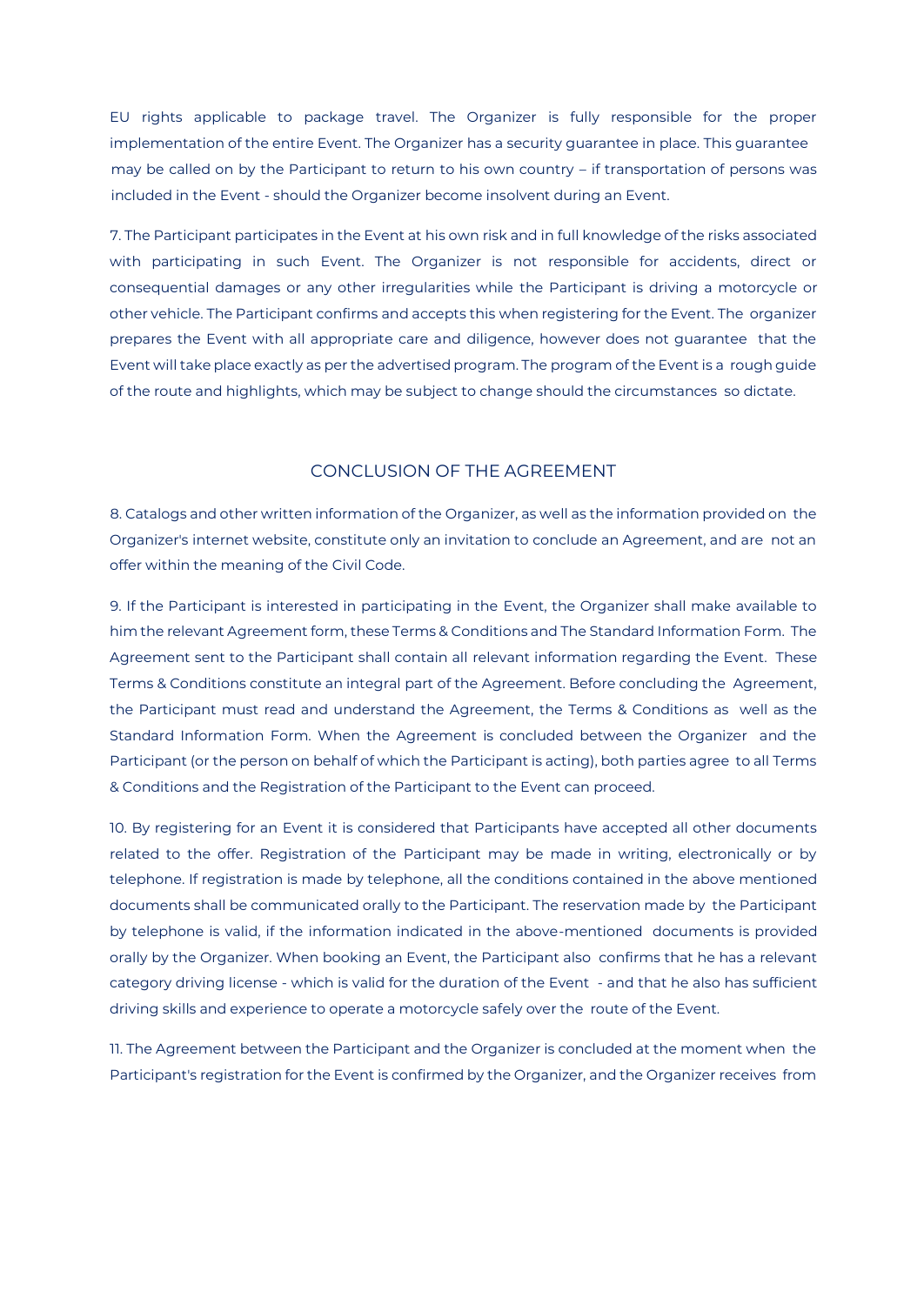EU rights applicable to package travel. The Organizer is fully responsible for the proper implementation of the entire Event. The Organizer has a security guarantee in place. This guarantee may be called on by the Participant to return to his own country – if transportation of persons was included in the Event - should the Organizer become insolvent during an Event.

7. The Participant participates in the Event at his own risk and in full knowledge of the risks associated with participating in such Event. The Organizer is not responsible for accidents, direct or consequential damages or any other irregularities while the Participant is driving a motorcycle or other vehicle. The Participant confirms and accepts this when registering for the Event. The organizer prepares the Event with all appropriate care and diligence, however does not guarantee that the Event will take place exactly as per the advertised program. The program of the Event is a rough guide of the route and highlights, which may be subject to change should the circumstances so dictate.

#### CONCLUSION OF THE AGREEMENT

8. Catalogs and other written information of the Organizer, as well as the information provided on the Organizer's internet website, constitute only an invitation to conclude an Agreement, and are not an offer within the meaning of the Civil Code.

9. If the Participant is interested in participating in the Event, the Organizer shall make available to him the relevant Agreement form, these Terms & Conditions and The Standard Information Form. The Agreement sent to the Participant shall contain all relevant information regarding the Event. These Terms & Conditions constitute an integral part of the Agreement. Before concluding the Agreement, the Participant must read and understand the Agreement, the Terms & Conditions as well as the Standard Information Form. When the Agreement is concluded between the Organizer and the Participant (or the person on behalf of which the Participant is acting), both parties agree to all Terms & Conditions and the Registration of the Participant to the Event can proceed.

10. By registering for an Event it is considered that Participants have accepted all other documents related to the offer. Registration of the Participant may be made in writing, electronically or by telephone. If registration is made by telephone, all the conditions contained in the above mentioned documents shall be communicated orally to the Participant. The reservation made by the Participant by telephone is valid, if the information indicated in the above-mentioned documents is provided orally by the Organizer. When booking an Event, the Participant also confirms that he has a relevant category driving license - which is valid for the duration of the Event - and that he also has sufficient driving skills and experience to operate a motorcycle safely over the route of the Event.

11. The Agreement between the Participant and the Organizer is concluded at the moment when the Participant's registration for the Event is confirmed by the Organizer, and the Organizer receives from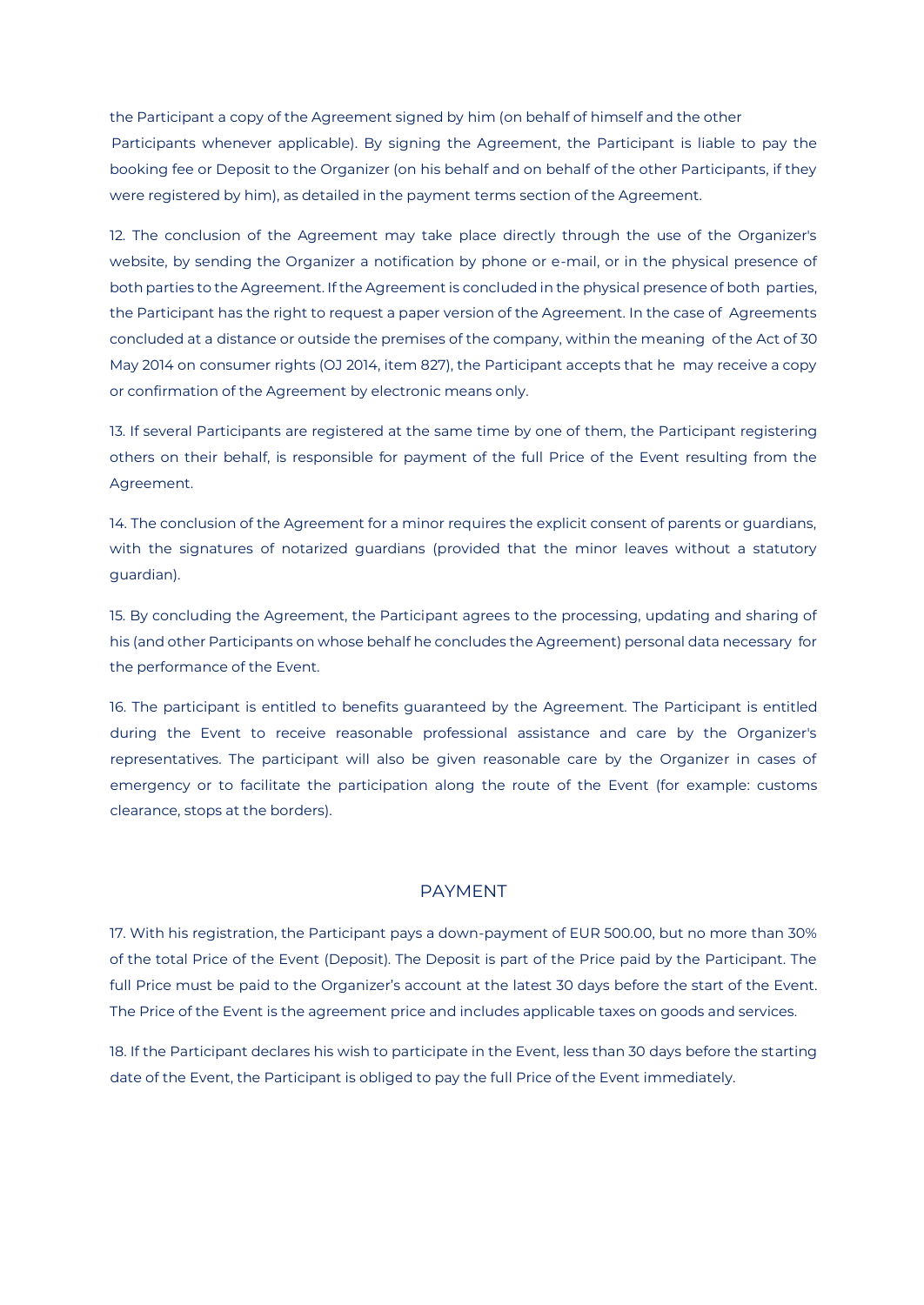the Participant a copy of the Agreement signed by him (on behalf of himself and the other Participants whenever applicable). By signing the Agreement, the Participant is liable to pay the booking fee or Deposit to the Organizer (on his behalf and on behalf of the other Participants, if they were registered by him), as detailed in the payment terms section of the Agreement.

12. The conclusion of the Agreement may take place directly through the use of the Organizer's website, by sending the Organizer a notification by phone or e-mail, or in the physical presence of both parties to the Agreement. If the Agreement is concluded in the physical presence of both parties, the Participant has the right to request a paper version of the Agreement. In the case of Agreements concluded at a distance or outside the premises of the company, within the meaning of the Act of 30 May 2014 on consumer rights (OJ 2014, item 827), the Participant accepts that he may receive a copy or confirmation of the Agreement by electronic means only.

13. If several Participants are registered at the same time by one of them, the Participant registering others on their behalf, is responsible for payment of the full Price of the Event resulting from the Agreement.

14. The conclusion of the Agreement for a minor requires the explicit consent of parents or guardians, with the signatures of notarized guardians (provided that the minor leaves without a statutory guardian).

15. By concluding the Agreement, the Participant agrees to the processing, updating and sharing of his (and other Participants on whose behalf he concludes the Agreement) personal data necessary for the performance of the Event.

16. The participant is entitled to benefits guaranteed by the Agreement. The Participant is entitled during the Event to receive reasonable professional assistance and care by the Organizer's representatives. The participant will also be given reasonable care by the Organizer in cases of emergency or to facilitate the participation along the route of the Event (for example: customs clearance, stops at the borders).

#### PAYMENT

17. With his registration, the Participant pays a down-payment of EUR 500.00, but no more than 30% of the total Price of the Event (Deposit). The Deposit is part of the Price paid by the Participant. The full Price must be paid to the Organizer's account at the latest 30 days before the start of the Event. The Price of the Event is the agreement price and includes applicable taxes on goods and services.

18. If the Participant declares his wish to participate in the Event, less than 30 days before the starting date of the Event, the Participant is obliged to pay the full Price of the Event immediately.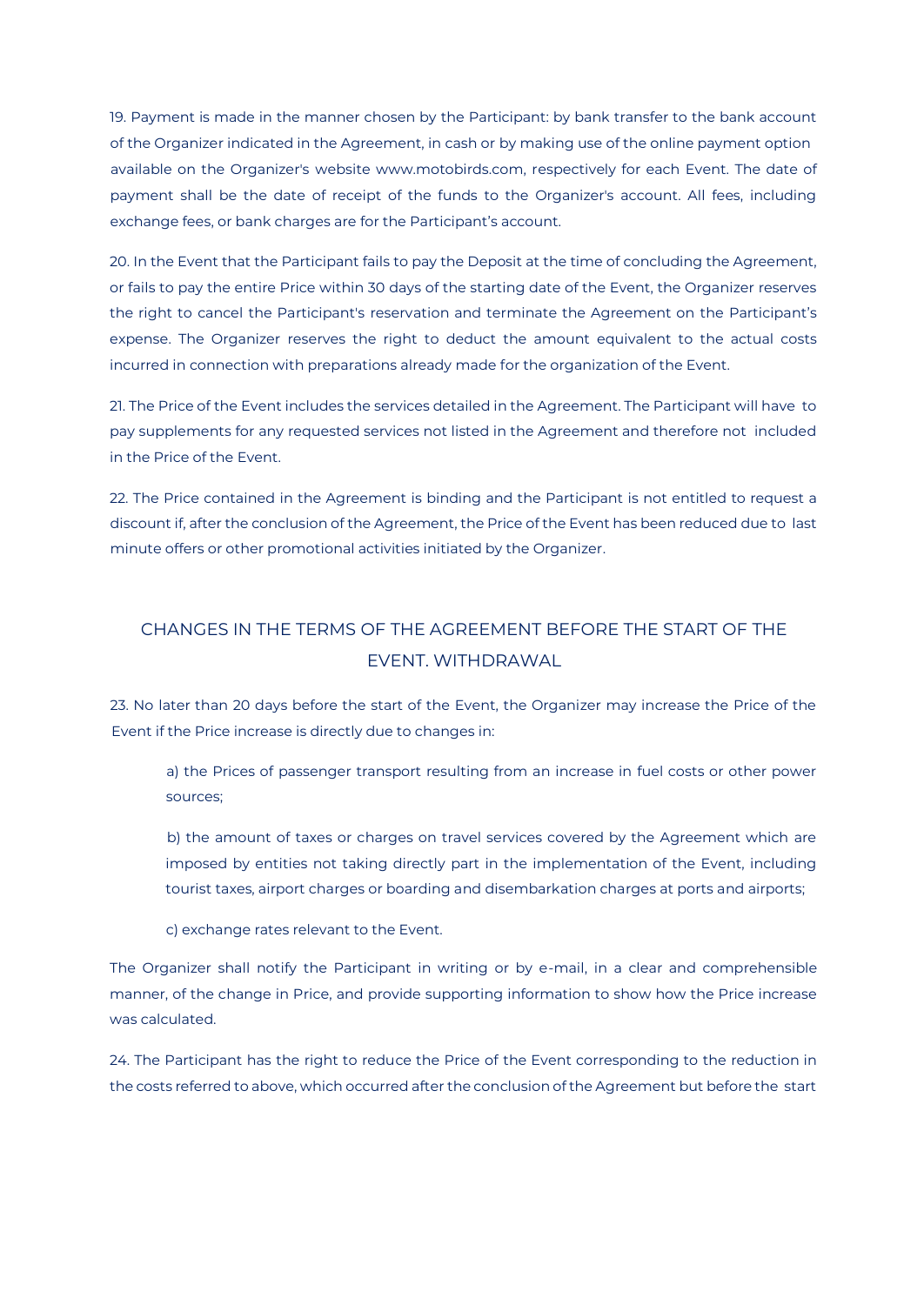19. Payment is made in the manner chosen by the Participant: by bank transfer to the bank account of the Organizer indicated in the Agreement, in cash or by making use of the online payment option available on the Organizer's website www.motobirds.com, respectively for each Event. The date of payment shall be the date of receipt of the funds to the Organizer's account. All fees, including exchange fees, or bank charges are for the Participant's account.

20. In the Event that the Participant fails to pay the Deposit at the time of concluding the Agreement, or fails to pay the entire Price within 30 days of the starting date of the Event, the Organizer reserves the right to cancel the Participant's reservation and terminate the Agreement on the Participant's expense. The Organizer reserves the right to deduct the amount equivalent to the actual costs incurred in connection with preparations already made for the organization of the Event.

21. The Price of the Event includes the services detailed in the Agreement. The Participant will have to pay supplements for any requested services not listed in the Agreement and therefore not included in the Price of the Event.

22. The Price contained in the Agreement is binding and the Participant is not entitled to request a discount if, after the conclusion of the Agreement, the Price of the Event has been reduced due to last minute offers or other promotional activities initiated by the Organizer.

# CHANGES IN THE TERMS OF THE AGREEMENT BEFORE THE START OF THE EVENT. WITHDRAWAL

23. No later than 20 days before the start of the Event, the Organizer may increase the Price of the Event if the Price increase is directly due to changes in:

a) the Prices of passenger transport resulting from an increase in fuel costs or other power sources;

b) the amount of taxes or charges on travel services covered by the Agreement which are imposed by entities not taking directly part in the implementation of the Event, including tourist taxes, airport charges or boarding and disembarkation charges at ports and airports;

c) exchange rates relevant to the Event.

The Organizer shall notify the Participant in writing or by e-mail, in a clear and comprehensible manner, of the change in Price, and provide supporting information to show how the Price increase was calculated.

24. The Participant has the right to reduce the Price of the Event corresponding to the reduction in the costs referred to above, which occurred after the conclusion of the Agreement but before the start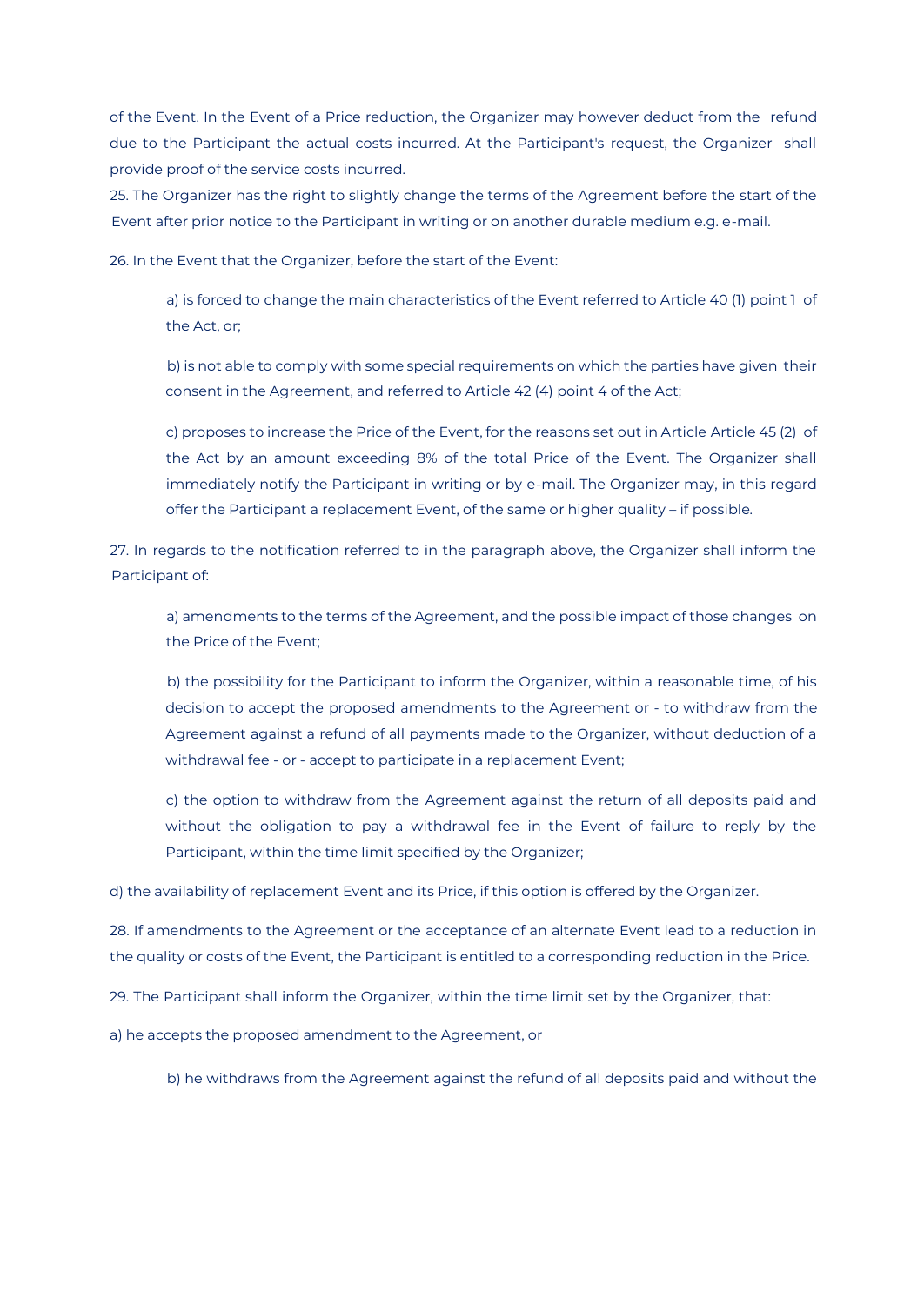of the Event. In the Event of a Price reduction, the Organizer may however deduct from the refund due to the Participant the actual costs incurred. At the Participant's request, the Organizer shall provide proof of the service costs incurred.

25. The Organizer has the right to slightly change the terms of the Agreement before the start of the Event after prior notice to the Participant in writing or on another durable medium e.g. e-mail.

26. In the Event that the Organizer, before the start of the Event:

a) is forced to change the main characteristics of the Event referred to Article 40 (1) point 1 of the Act, or;

b) is not able to comply with some special requirements on which the parties have given their consent in the Agreement, and referred to Article 42 (4) point 4 of the Act;

c) proposes to increase the Price of the Event, for the reasons set out in Article Article 45 (2) of the Act by an amount exceeding 8% of the total Price of the Event. The Organizer shall immediately notify the Participant in writing or by e-mail. The Organizer may, in this regard offer the Participant a replacement Event, of the same or higher quality – if possible.

27. In regards to the notification referred to in the paragraph above, the Organizer shall inform the Participant of:

a) amendments to the terms of the Agreement, and the possible impact of those changes on the Price of the Event;

b) the possibility for the Participant to inform the Organizer, within a reasonable time, of his decision to accept the proposed amendments to the Agreement or - to withdraw from the Agreement against a refund of all payments made to the Organizer, without deduction of a withdrawal fee - or - accept to participate in a replacement Event;

c) the option to withdraw from the Agreement against the return of all deposits paid and without the obligation to pay a withdrawal fee in the Event of failure to reply by the Participant, within the time limit specified by the Organizer;

d) the availability of replacement Event and its Price, if this option is offered by the Organizer.

28. If amendments to the Agreement or the acceptance of an alternate Event lead to a reduction in the quality or costs of the Event, the Participant is entitled to a corresponding reduction in the Price.

29. The Participant shall inform the Organizer, within the time limit set by the Organizer, that:

a) he accepts the proposed amendment to the Agreement, or

b) he withdraws from the Agreement against the refund of all deposits paid and without the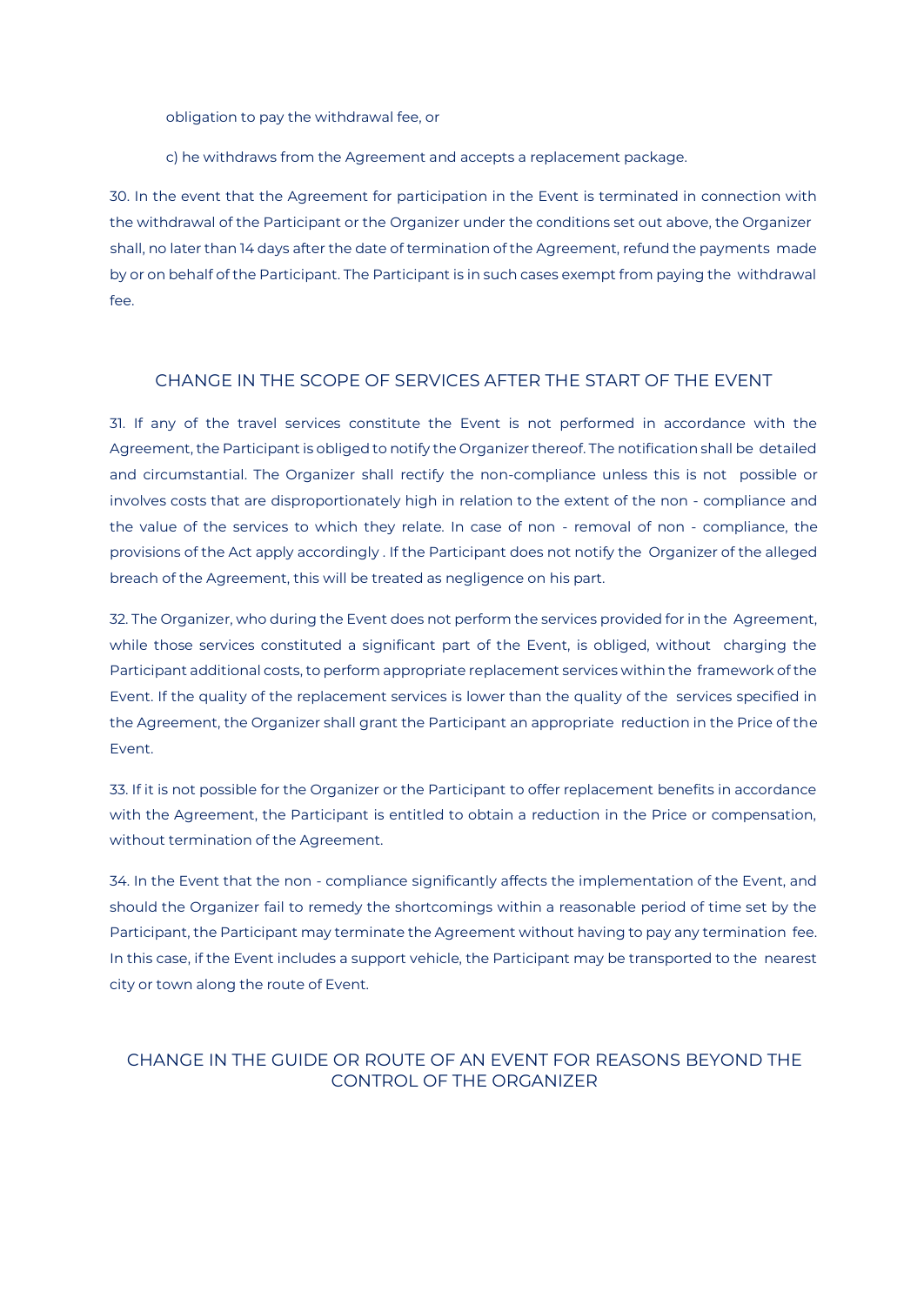obligation to pay the withdrawal fee, or

c) he withdraws from the Agreement and accepts a replacement package.

30. In the event that the Agreement for participation in the Event is terminated in connection with the withdrawal of the Participant or the Organizer under the conditions set out above, the Organizer shall, no later than 14 days after the date of termination of the Agreement, refund the payments made by or on behalf of the Participant. The Participant is in such cases exempt from paying the withdrawal fee.

#### CHANGE IN THE SCOPE OF SERVICES AFTER THE START OF THE EVENT

31. If any of the travel services constitute the Event is not performed in accordance with the Agreement, the Participant is obliged to notify the Organizer thereof. The notification shall be detailed and circumstantial. The Organizer shall rectify the non-compliance unless this is not possible or involves costs that are disproportionately high in relation to the extent of the non - compliance and the value of the services to which they relate. In case of non - removal of non - compliance, the provisions of the Act apply accordingly . If the Participant does not notify the Organizer of the alleged breach of the Agreement, this will be treated as negligence on his part.

32. The Organizer, who during the Event does not perform the services provided for in the Agreement, while those services constituted a significant part of the Event, is obliged, without charging the Participant additional costs, to perform appropriate replacement services within the framework of the Event. If the quality of the replacement services is lower than the quality of the services specified in the Agreement, the Organizer shall grant the Participant an appropriate reduction in the Price of the Event.

33. If it is not possible for the Organizer or the Participant to offer replacement benefits in accordance with the Agreement, the Participant is entitled to obtain a reduction in the Price or compensation, without termination of the Agreement.

34. In the Event that the non - compliance significantly affects the implementation of the Event, and should the Organizer fail to remedy the shortcomings within a reasonable period of time set by the Participant, the Participant may terminate the Agreement without having to pay any termination fee. In this case, if the Event includes a support vehicle, the Participant may be transported to the nearest city or town along the route of Event.

## CHANGE IN THE GUIDE OR ROUTE OF AN EVENT FOR REASONS BEYOND THE CONTROL OF THE ORGANIZER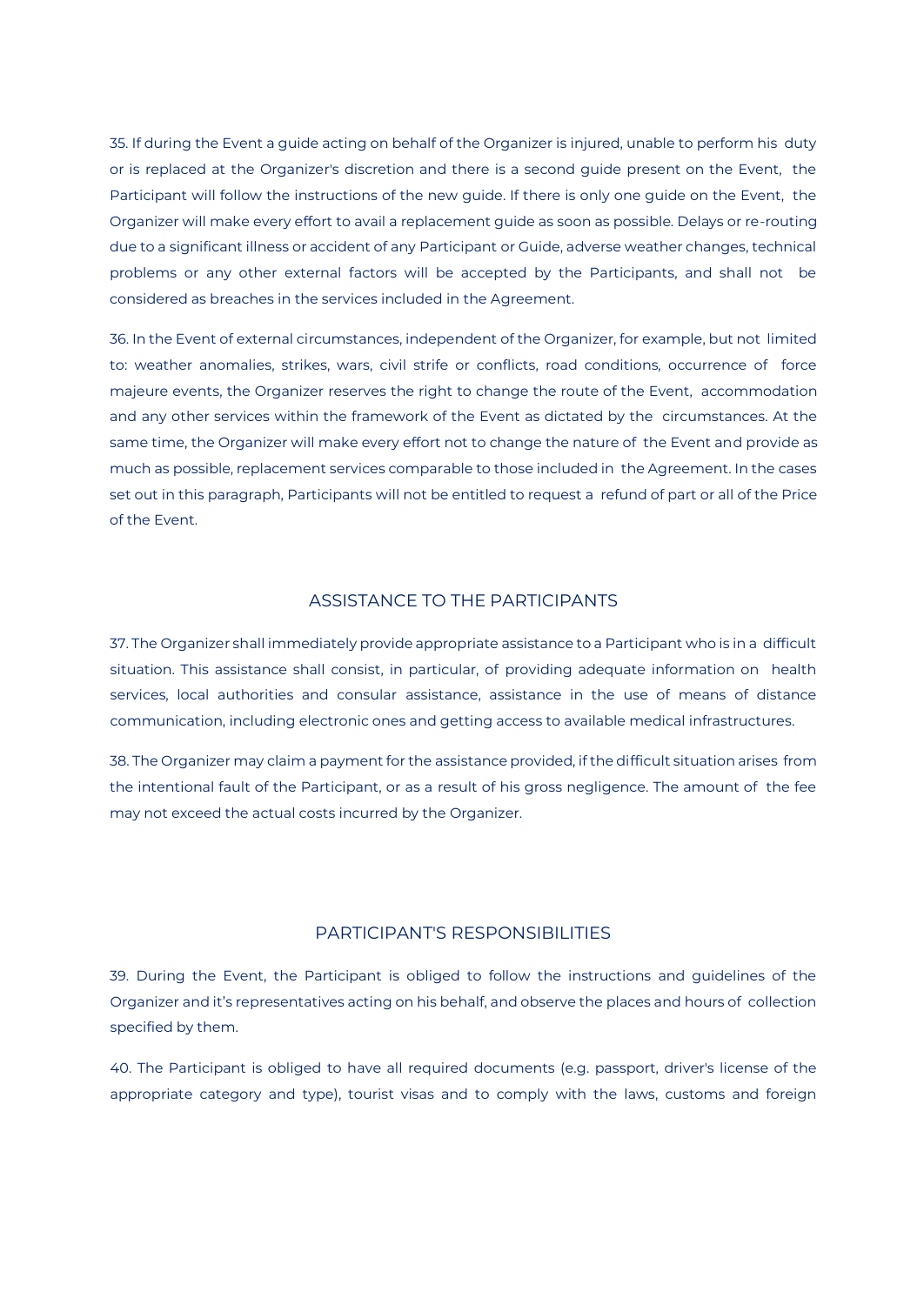35. If during the Event a guide acting on behalf of the Organizer is injured, unable to perform his duty or is replaced at the Organizer's discretion and there is a second guide present on the Event, the Participant will follow the instructions of the new guide. If there is only one guide on the Event, the Organizer will make every effort to avail a replacement guide as soon as possible. Delays or re-routing due to a significant illness or accident of any Participant or Guide, adverse weather changes, technical problems or any other external factors will be accepted by the Participants, and shall not be considered as breaches in the services included in the Agreement.

36. In the Event of external circumstances, independent of the Organizer, for example, but not limited to: weather anomalies, strikes, wars, civil strife or conflicts, road conditions, occurrence of force majeure events, the Organizer reserves the right to change the route of the Event, accommodation and any other services within the framework of the Event as dictated by the circumstances. At the same time, the Organizer will make every effort not to change the nature of the Event and provide as much as possible, replacement services comparable to those included in the Agreement. In the cases set out in this paragraph, Participants will not be entitled to request a refund of part or all of the Price of the Event.

#### ASSISTANCE TO THE PARTICIPANTS

37. The Organizer shall immediately provide appropriate assistance to a Participant who is in a difficult situation. This assistance shall consist, in particular, of providing adequate information on health services, local authorities and consular assistance, assistance in the use of means of distance communication, including electronic ones and getting access to available medical infrastructures.

38. The Organizer may claim a payment for the assistance provided, if the difficult situation arises from the intentional fault of the Participant, or as a result of his gross negligence. The amount of the fee may not exceed the actual costs incurred by the Organizer.

#### PARTICIPANT'S RESPONSIBILITIES

39. During the Event, the Participant is obliged to follow the instructions and guidelines of the Organizer and it's representatives acting on his behalf, and observe the places and hours of collection specified by them.

40. The Participant is obliged to have all required documents (e.g. passport, driver's license of the appropriate category and type), tourist visas and to comply with the laws, customs and foreign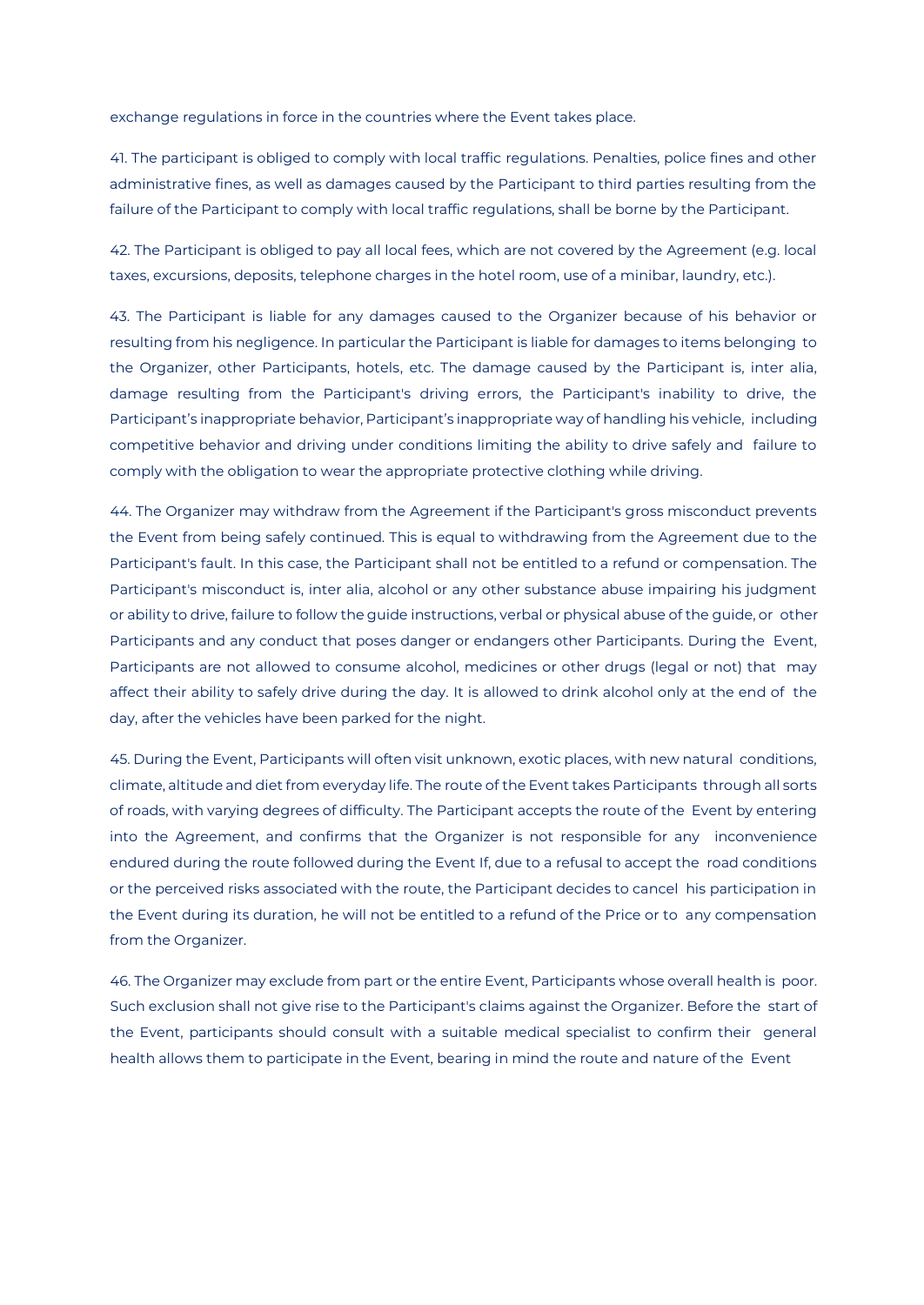exchange regulations in force in the countries where the Event takes place.

41. The participant is obliged to comply with local traffic regulations. Penalties, police fines and other administrative fines, as well as damages caused by the Participant to third parties resulting from the failure of the Participant to comply with local traffic regulations, shall be borne by the Participant.

42. The Participant is obliged to pay all local fees, which are not covered by the Agreement (e.g. local taxes, excursions, deposits, telephone charges in the hotel room, use of a minibar, laundry, etc.).

43. The Participant is liable for any damages caused to the Organizer because of his behavior or resulting from his negligence. In particular the Participant is liable for damages to items belonging to the Organizer, other Participants, hotels, etc. The damage caused by the Participant is, inter alia, damage resulting from the Participant's driving errors, the Participant's inability to drive, the Participant's inappropriate behavior, Participant's inappropriate way of handling his vehicle, including competitive behavior and driving under conditions limiting the ability to drive safely and failure to comply with the obligation to wear the appropriate protective clothing while driving.

44. The Organizer may withdraw from the Agreement if the Participant's gross misconduct prevents the Event from being safely continued. This is equal to withdrawing from the Agreement due to the Participant's fault. In this case, the Participant shall not be entitled to a refund or compensation. The Participant's misconduct is, inter alia, alcohol or any other substance abuse impairing his judgment or ability to drive, failure to follow the guide instructions, verbal or physical abuse of the guide, or other Participants and any conduct that poses danger or endangers other Participants. During the Event, Participants are not allowed to consume alcohol, medicines or other drugs (legal or not) that may affect their ability to safely drive during the day. It is allowed to drink alcohol only at the end of the day, after the vehicles have been parked for the night.

45. During the Event, Participants will often visit unknown, exotic places, with new natural conditions, climate, altitude and diet from everyday life. The route of the Event takes Participants through all sorts of roads, with varying degrees of difficulty. The Participant accepts the route of the Event by entering into the Agreement, and confirms that the Organizer is not responsible for any inconvenience endured during the route followed during the Event If, due to a refusal to accept the road conditions or the perceived risks associated with the route, the Participant decides to cancel his participation in the Event during its duration, he will not be entitled to a refund of the Price or to any compensation from the Organizer.

46. The Organizer may exclude from part or the entire Event, Participants whose overall health is poor. Such exclusion shall not give rise to the Participant's claims against the Organizer. Before the start of the Event, participants should consult with a suitable medical specialist to confirm their general health allows them to participate in the Event, bearing in mind the route and nature of the Event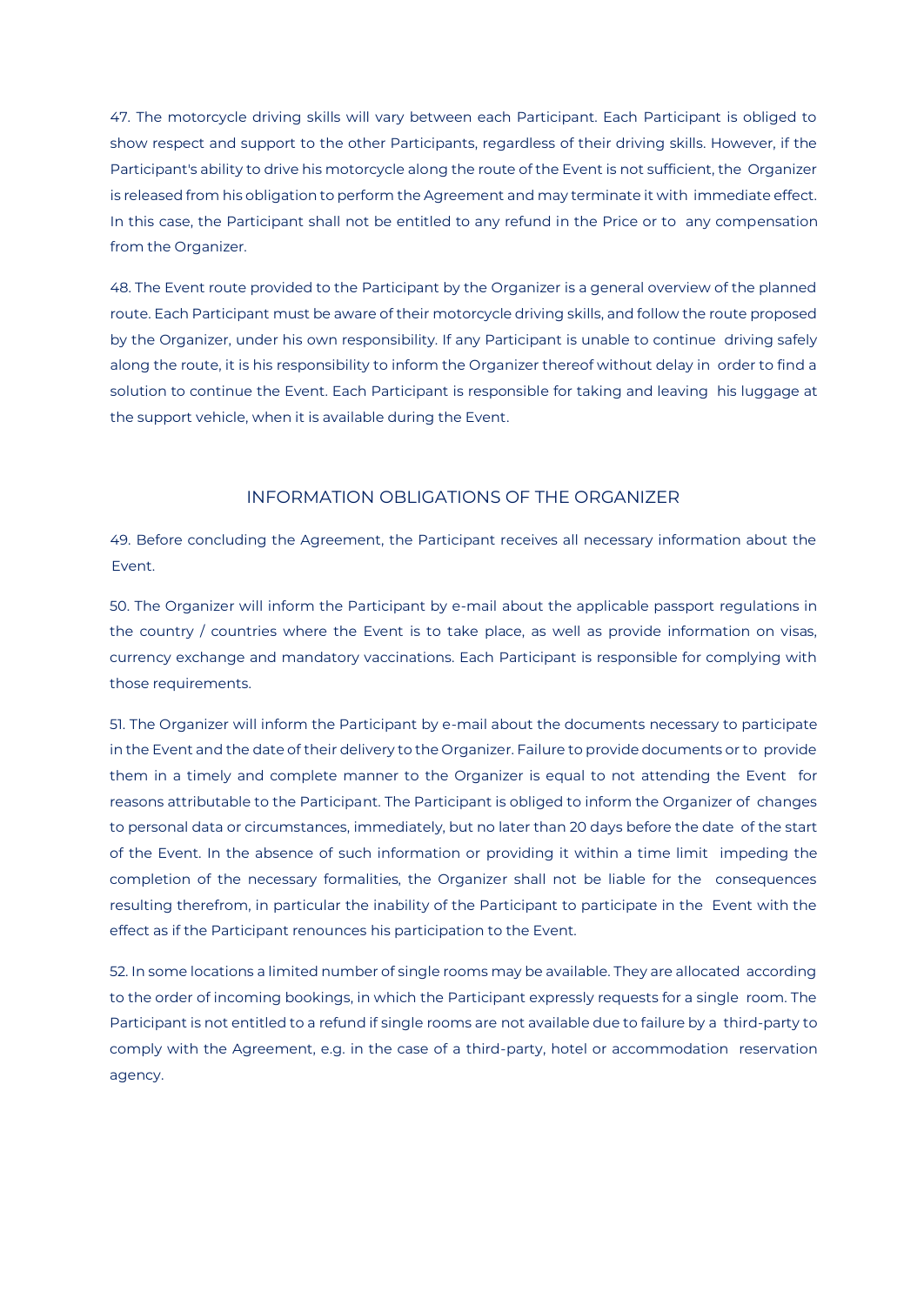47. The motorcycle driving skills will vary between each Participant. Each Participant is obliged to show respect and support to the other Participants, regardless of their driving skills. However, if the Participant's ability to drive his motorcycle along the route of the Event is not sufficient, the Organizer is released from his obligation to perform the Agreement and may terminate it with immediate effect. In this case, the Participant shall not be entitled to any refund in the Price or to any compensation from the Organizer.

48. The Event route provided to the Participant by the Organizer is a general overview of the planned route. Each Participant must be aware of their motorcycle driving skills, and follow the route proposed by the Organizer, under his own responsibility. If any Participant is unable to continue driving safely along the route, it is his responsibility to inform the Organizer thereof without delay in order to find a solution to continue the Event. Each Participant is responsible for taking and leaving his luggage at the support vehicle, when it is available during the Event.

# INFORMATION OBLIGATIONS OF THE ORGANIZER

49. Before concluding the Agreement, the Participant receives all necessary information about the Event.

50. The Organizer will inform the Participant by e-mail about the applicable passport regulations in the country / countries where the Event is to take place, as well as provide information on visas, currency exchange and mandatory vaccinations. Each Participant is responsible for complying with those requirements.

51. The Organizer will inform the Participant by e-mail about the documents necessary to participate in the Event and the date of their delivery to the Organizer. Failure to provide documents or to provide them in a timely and complete manner to the Organizer is equal to not attending the Event for reasons attributable to the Participant. The Participant is obliged to inform the Organizer of changes to personal data or circumstances, immediately, but no later than 20 days before the date of the start of the Event. In the absence of such information or providing it within a time limit impeding the completion of the necessary formalities, the Organizer shall not be liable for the consequences resulting therefrom, in particular the inability of the Participant to participate in the Event with the effect as if the Participant renounces his participation to the Event.

52. In some locations a limited number of single rooms may be available. They are allocated according to the order of incoming bookings, in which the Participant expressly requests for a single room. The Participant is not entitled to a refund if single rooms are not available due to failure by a third-party to comply with the Agreement, e.g. in the case of a third-party, hotel or accommodation reservation agency.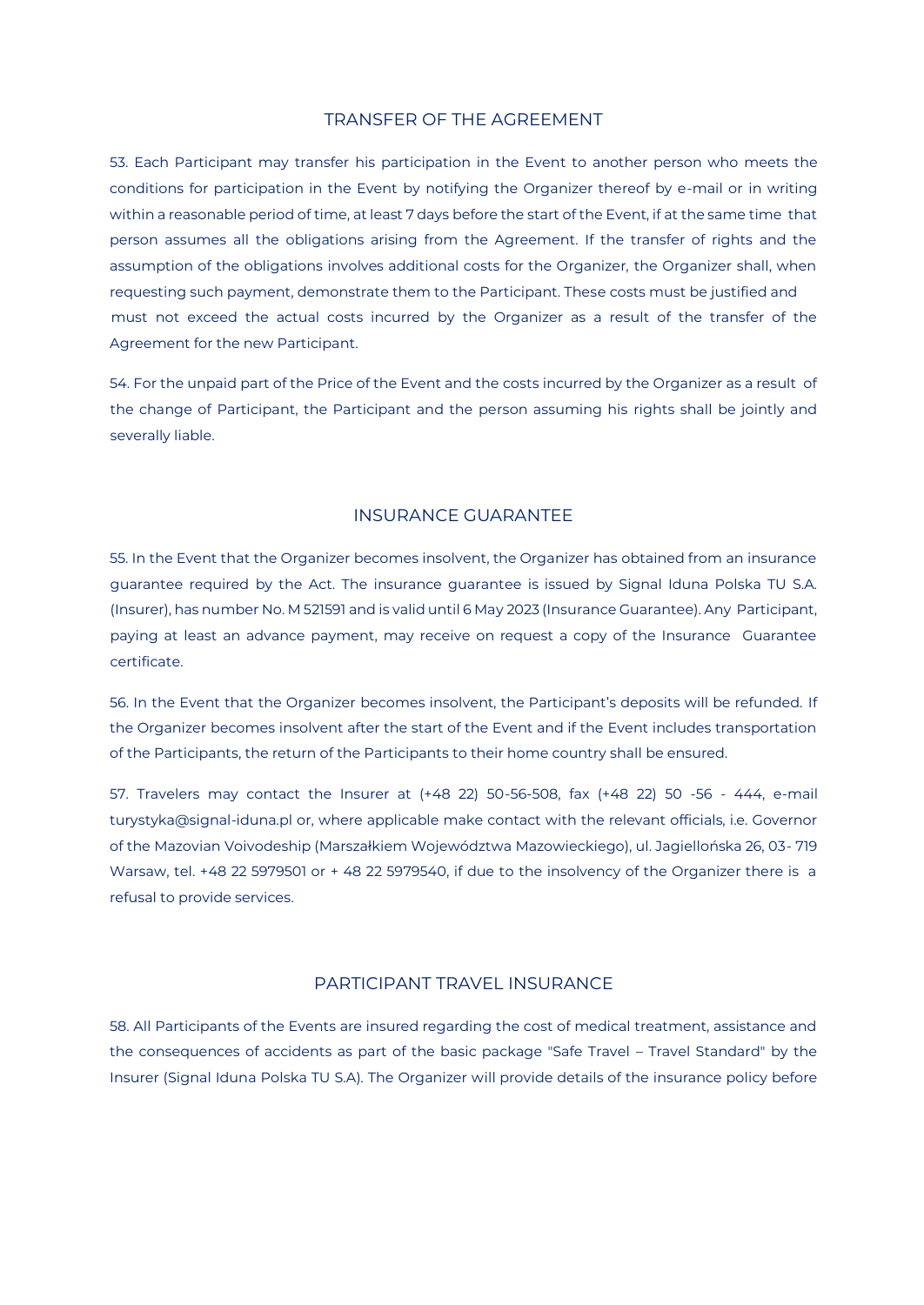#### TRANSFER OF THE AGREEMENT

53. Each Participant may transfer his participation in the Event to another person who meets the conditions for participation in the Event by notifying the Organizer thereof by e-mail or in writing within a reasonable period of time, at least 7 days before the start of the Event, if at the same time that person assumes all the obligations arising from the Agreement. If the transfer of rights and the assumption of the obligations involves additional costs for the Organizer, the Organizer shall, when requesting such payment, demonstrate them to the Participant. These costs must be justified and must not exceed the actual costs incurred by the Organizer as a result of the transfer of the Agreement for the new Participant.

54. For the unpaid part of the Price of the Event and the costs incurred by the Organizer as a result of the change of Participant, the Participant and the person assuming his rights shall be jointly and severally liable.

#### INSURANCE GUARANTEE

55. In the Event that the Organizer becomes insolvent, the Organizer has obtained from an insurance guarantee required by the Act. The insurance guarantee is issued by Signal Iduna Polska TU S.A. (Insurer), has number No. M 521591 and is valid until 6 May 2023 (Insurance Guarantee). Any Participant, paying at least an advance payment, may receive on request a copy of the Insurance Guarantee certificate.

56. In the Event that the Organizer becomes insolvent, the Participant's deposits will be refunded. If the Organizer becomes insolvent after the start of the Event and if the Event includes transportation of the Participants, the return of the Participants to their home country shall be ensured.

57. Travelers may contact the Insurer at (+48 22) 50-56-508, fax (+48 22) 50 -56 - 444, e-mail turystyka@signal-iduna.pl or, where applicable make contact with the relevant officials, i.e. Governor of the Mazovian Voivodeship (Marszałkiem Województwa Mazowieckiego), ul. Jagiellońska 26, 03- 719 Warsaw, tel. +48 22 5979501 or + 48 22 5979540, if due to the insolvency of the Organizer there is a refusal to provide services.

### PARTICIPANT TRAVEL INSURANCE

58. All Participants of the Events are insured regarding the cost of medical treatment, assistance and the consequences of accidents as part of the basic package "Safe Travel – Travel Standard" by the Insurer (Signal Iduna Polska TU S.A). The Organizer will provide details of the insurance policy before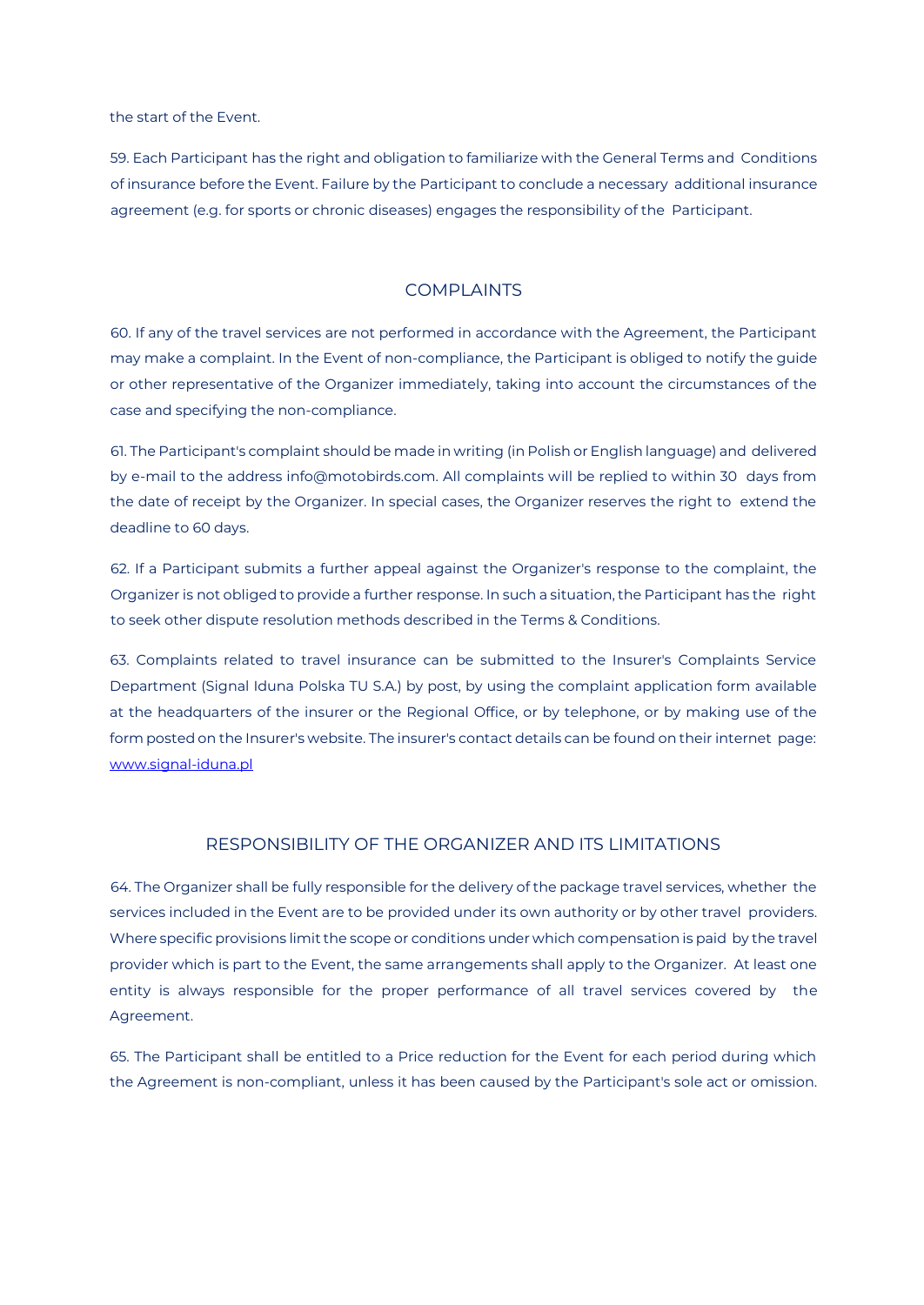the start of the Event.

59. Each Participant has the right and obligation to familiarize with the General Terms and Conditions of insurance before the Event. Failure by the Participant to conclude a necessary additional insurance agreement (e.g. for sports or chronic diseases) engages the responsibility of the Participant.

#### **COMPLAINTS**

60. If any of the travel services are not performed in accordance with the Agreement, the Participant may make a complaint. In the Event of non-compliance, the Participant is obliged to notify the guide or other representative of the Organizer immediately, taking into account the circumstances of the case and specifying the non-compliance.

61. The Participant's complaint should be made in writing (in Polish or English language) and delivered by e-mail to the address info@motobirds.com. All complaints will be replied to within 30 days from the date of receipt by the Organizer. In special cases, the Organizer reserves the right to extend the deadline to 60 days.

62. If a Participant submits a further appeal against the Organizer's response to the complaint, the Organizer is not obliged to provide a further response. In such a situation, the Participant has the right to seek other dispute resolution methods described in the Terms & Conditions.

63. Complaints related to travel insurance can be submitted to the Insurer's Complaints Service Department (Signal Iduna Polska TU S.A.) by post, by using the complaint application form available at the headquarters of the insurer or the Regional Office, or by telephone, or by making use of the form posted on the Insurer's website. The insurer's contact details can be found on their internet page: www.signal-iduna.pl

#### RESPONSIBILITY OF THE ORGANIZER AND ITS LIMITATIONS

64. The Organizer shall be fully responsible for the delivery of the package travel services, whether the services included in the Event are to be provided under its own authority or by other travel providers. Where specific provisions limit the scope or conditions under which compensation is paid by the travel provider which is part to the Event, the same arrangements shall apply to the Organizer. At least one entity is always responsible for the proper performance of all travel services covered by the Agreement.

65. The Participant shall be entitled to a Price reduction for the Event for each period during which the Agreement is non-compliant, unless it has been caused by the Participant's sole act or omission.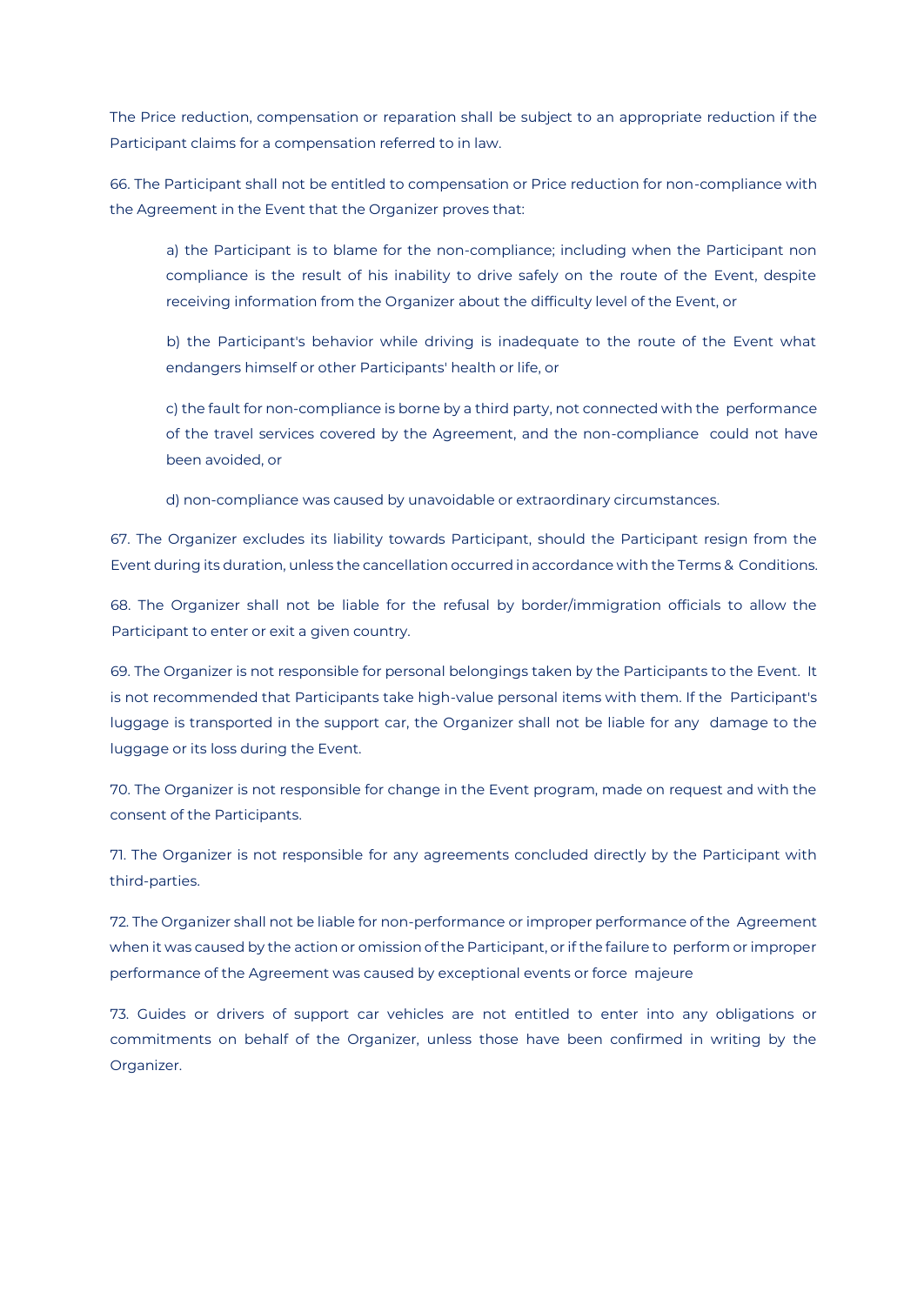The Price reduction, compensation or reparation shall be subject to an appropriate reduction if the Participant claims for a compensation referred to in law.

66. The Participant shall not be entitled to compensation or Price reduction for non-compliance with the Agreement in the Event that the Organizer proves that:

a) the Participant is to blame for the non-compliance; including when the Participant non compliance is the result of his inability to drive safely on the route of the Event, despite receiving information from the Organizer about the difficulty level of the Event, or

b) the Participant's behavior while driving is inadequate to the route of the Event what endangers himself or other Participants' health or life, or

c) the fault for non-compliance is borne by a third party, not connected with the performance of the travel services covered by the Agreement, and the non-compliance could not have been avoided, or

d) non-compliance was caused by unavoidable or extraordinary circumstances.

67. The Organizer excludes its liability towards Participant, should the Participant resign from the Event during its duration, unless the cancellation occurred in accordance with the Terms & Conditions.

68. The Organizer shall not be liable for the refusal by border/immigration officials to allow the Participant to enter or exit a given country.

69. The Organizer is not responsible for personal belongings taken by the Participants to the Event. It is not recommended that Participants take high-value personal items with them. If the Participant's luggage is transported in the support car, the Organizer shall not be liable for any damage to the luggage or its loss during the Event.

70. The Organizer is not responsible for change in the Event program, made on request and with the consent of the Participants.

71. The Organizer is not responsible for any agreements concluded directly by the Participant with third-parties.

72. The Organizer shall not be liable for non-performance or improper performance of the Agreement when it was caused by the action or omission of the Participant, or if the failure to perform or improper performance of the Agreement was caused by exceptional events or force majeure

73. Guides or drivers of support car vehicles are not entitled to enter into any obligations or commitments on behalf of the Organizer, unless those have been confirmed in writing by the Organizer.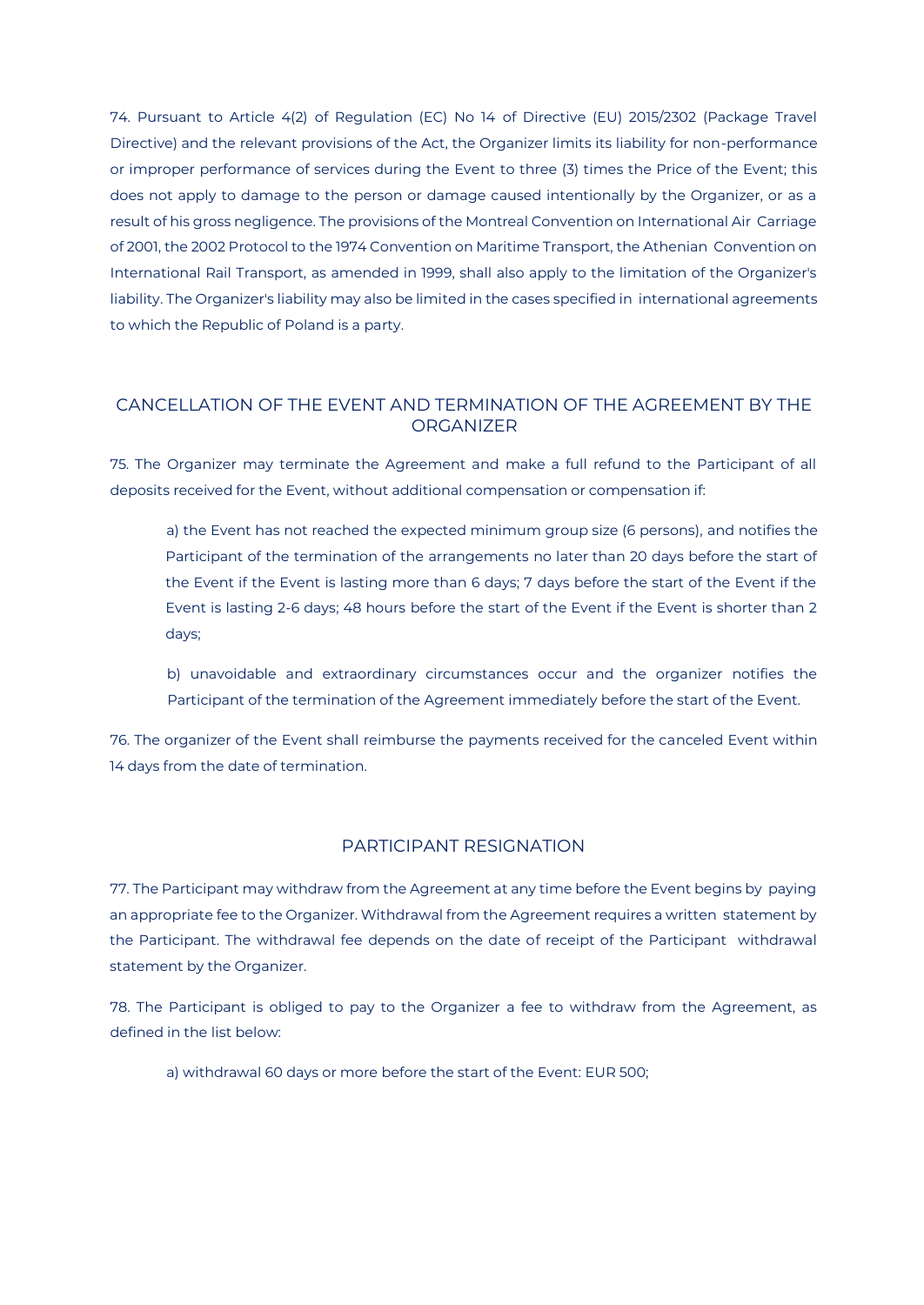74. Pursuant to Article 4(2) of Regulation (EC) No 14 of Directive (EU) 2015/2302 (Package Travel Directive) and the relevant provisions of the Act, the Organizer limits its liability for non-performance or improper performance of services during the Event to three (3) times the Price of the Event; this does not apply to damage to the person or damage caused intentionally by the Organizer, or as a result of his gross negligence. The provisions of the Montreal Convention on International Air Carriage of 2001, the 2002 Protocol to the 1974 Convention on Maritime Transport, the Athenian Convention on International Rail Transport, as amended in 1999, shall also apply to the limitation of the Organizer's liability. The Organizer's liability may also be limited in the cases specified in international agreements to which the Republic of Poland is a party.

# CANCELLATION OF THE EVENT AND TERMINATION OF THE AGREEMENT BY THE **ORGANIZER**

75. The Organizer may terminate the Agreement and make a full refund to the Participant of all deposits received for the Event, without additional compensation or compensation if:

a) the Event has not reached the expected minimum group size (6 persons), and notifies the Participant of the termination of the arrangements no later than 20 days before the start of the Event if the Event is lasting more than 6 days; 7 days before the start of the Event if the Event is lasting 2-6 days; 48 hours before the start of the Event if the Event is shorter than 2 days;

b) unavoidable and extraordinary circumstances occur and the organizer notifies the Participant of the termination of the Agreement immediately before the start of the Event.

76. The organizer of the Event shall reimburse the payments received for the canceled Event within 14 days from the date of termination.

## PARTICIPANT RESIGNATION

77. The Participant may withdraw from the Agreement at any time before the Event begins by paying an appropriate fee to the Organizer. Withdrawal from the Agreement requires a written statement by the Participant. The withdrawal fee depends on the date of receipt of the Participant withdrawal statement by the Organizer.

78. The Participant is obliged to pay to the Organizer a fee to withdraw from the Agreement, as defined in the list below:

a) withdrawal 60 days or more before the start of the Event: EUR 500;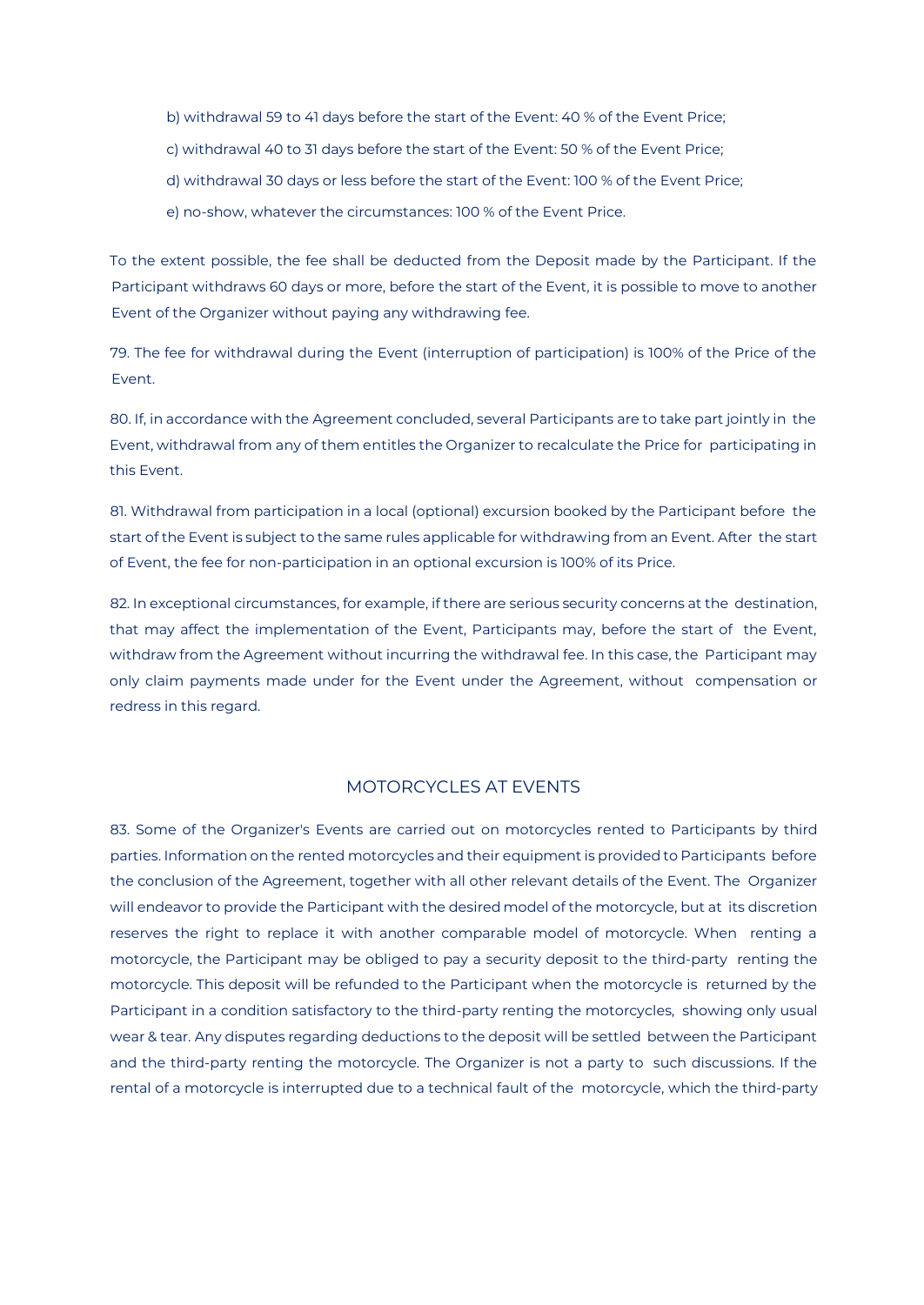- b) withdrawal 59 to 41 days before the start of the Event: 40 % of the Event Price;
- c) withdrawal 40 to 31 days before the start of the Event: 50 % of the Event Price;
- d) withdrawal 30 days or less before the start of the Event: 100 % of the Event Price;
- e) no-show, whatever the circumstances: 100 % of the Event Price.

To the extent possible, the fee shall be deducted from the Deposit made by the Participant. If the Participant withdraws 60 days or more, before the start of the Event, it is possible to move to another Event of the Organizer without paying any withdrawing fee.

79. The fee for withdrawal during the Event (interruption of participation) is 100% of the Price of the Event.

80. If, in accordance with the Agreement concluded, several Participants are to take part jointly in the Event, withdrawal from any of them entitles the Organizer to recalculate the Price for participating in this Event.

81. Withdrawal from participation in a local (optional) excursion booked by the Participant before the start of the Event is subject to the same rules applicable for withdrawing from an Event. After the start of Event, the fee for non-participation in an optional excursion is 100% of its Price.

82. In exceptional circumstances, for example, if there are serious security concerns at the destination, that may affect the implementation of the Event, Participants may, before the start of the Event, withdraw from the Agreement without incurring the withdrawal fee. In this case, the Participant may only claim payments made under for the Event under the Agreement, without compensation or redress in this regard.

#### MOTORCYCLES AT EVENTS

83. Some of the Organizer's Events are carried out on motorcycles rented to Participants by third parties. Information on the rented motorcycles and their equipment is provided to Participants before the conclusion of the Agreement, together with all other relevant details of the Event. The Organizer will endeavor to provide the Participant with the desired model of the motorcycle, but at its discretion reserves the right to replace it with another comparable model of motorcycle. When renting a motorcycle, the Participant may be obliged to pay a security deposit to the third-party renting the motorcycle. This deposit will be refunded to the Participant when the motorcycle is returned by the Participant in a condition satisfactory to the third-party renting the motorcycles, showing only usual wear & tear. Any disputes regarding deductions to the deposit will be settled between the Participant and the third-party renting the motorcycle. The Organizer is not a party to such discussions. If the rental of a motorcycle is interrupted due to a technical fault of the motorcycle, which the third-party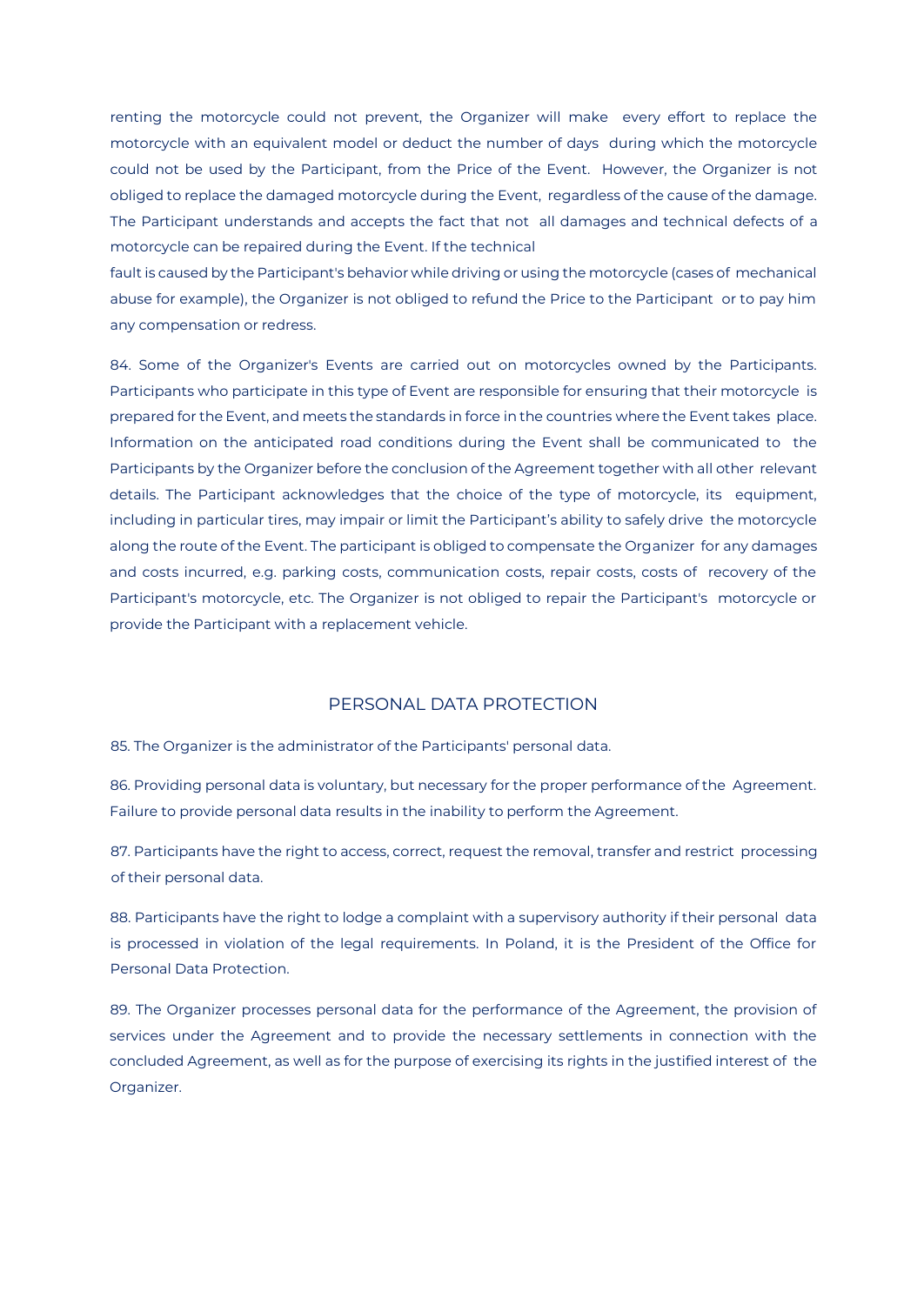renting the motorcycle could not prevent, the Organizer will make every effort to replace the motorcycle with an equivalent model or deduct the number of days during which the motorcycle could not be used by the Participant, from the Price of the Event. However, the Organizer is not obliged to replace the damaged motorcycle during the Event, regardless of the cause of the damage. The Participant understands and accepts the fact that not all damages and technical defects of a motorcycle can be repaired during the Event. If the technical

fault is caused by the Participant's behavior while driving or using the motorcycle (cases of mechanical abuse for example), the Organizer is not obliged to refund the Price to the Participant or to pay him any compensation or redress.

84. Some of the Organizer's Events are carried out on motorcycles owned by the Participants. Participants who participate in this type of Event are responsible for ensuring that their motorcycle is prepared for the Event, and meets the standards in force in the countries where the Event takes place. Information on the anticipated road conditions during the Event shall be communicated to the Participants by the Organizer before the conclusion of the Agreement together with all other relevant details. The Participant acknowledges that the choice of the type of motorcycle, its equipment, including in particular tires, may impair or limit the Participant's ability to safely drive the motorcycle along the route of the Event. The participant is obliged to compensate the Organizer for any damages and costs incurred, e.g. parking costs, communication costs, repair costs, costs of recovery of the Participant's motorcycle, etc. The Organizer is not obliged to repair the Participant's motorcycle or provide the Participant with a replacement vehicle.

#### PERSONAL DATA PROTECTION

85. The Organizer is the administrator of the Participants' personal data.

86. Providing personal data is voluntary, but necessary for the proper performance of the Agreement. Failure to provide personal data results in the inability to perform the Agreement.

87. Participants have the right to access, correct, request the removal, transfer and restrict processing of their personal data.

88. Participants have the right to lodge a complaint with a supervisory authority if their personal data is processed in violation of the legal requirements. In Poland, it is the President of the Office for Personal Data Protection.

89. The Organizer processes personal data for the performance of the Agreement, the provision of services under the Agreement and to provide the necessary settlements in connection with the concluded Agreement, as well as for the purpose of exercising its rights in the justified interest of the Organizer.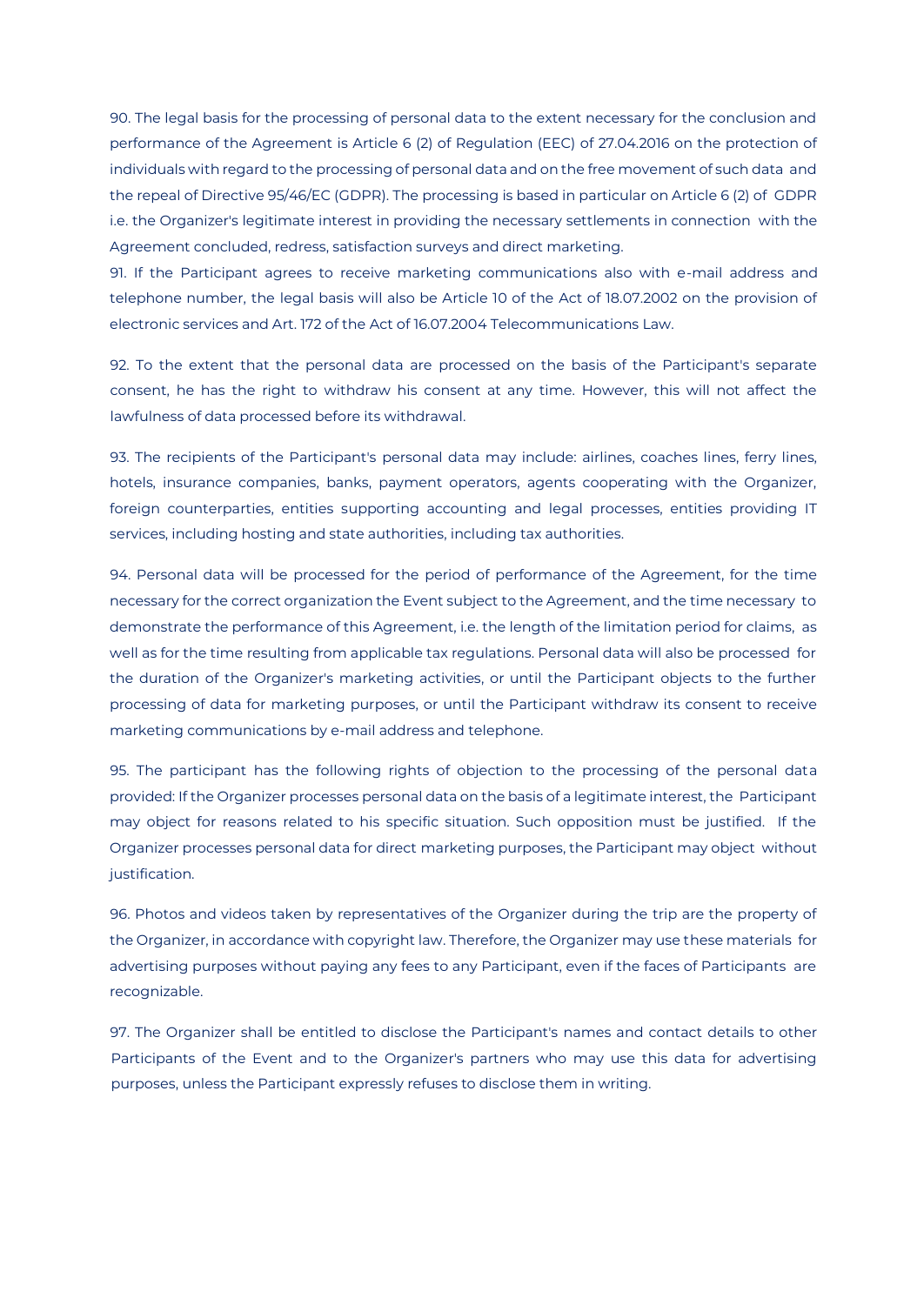90. The legal basis for the processing of personal data to the extent necessary for the conclusion and performance of the Agreement is Article 6 (2) of Regulation (EEC) of 27.04.2016 on the protection of individuals with regard to the processing of personal data and on the free movement of such data and the repeal of Directive 95/46/EC (GDPR). The processing is based in particular on Article 6 (2) of GDPR i.e. the Organizer's legitimate interest in providing the necessary settlements in connection with the Agreement concluded, redress, satisfaction surveys and direct marketing.

91. If the Participant agrees to receive marketing communications also with e-mail address and telephone number, the legal basis will also be Article 10 of the Act of 18.07.2002 on the provision of electronic services and Art. 172 of the Act of 16.07.2004 Telecommunications Law.

92. To the extent that the personal data are processed on the basis of the Participant's separate consent, he has the right to withdraw his consent at any time. However, this will not affect the lawfulness of data processed before its withdrawal.

93. The recipients of the Participant's personal data may include: airlines, coaches lines, ferry lines, hotels, insurance companies, banks, payment operators, agents cooperating with the Organizer, foreign counterparties, entities supporting accounting and legal processes, entities providing IT services, including hosting and state authorities, including tax authorities.

94. Personal data will be processed for the period of performance of the Agreement, for the time necessary for the correct organization the Event subject to the Agreement, and the time necessary to demonstrate the performance of this Agreement, i.e. the length of the limitation period for claims, as well as for the time resulting from applicable tax regulations. Personal data will also be processed for the duration of the Organizer's marketing activities, or until the Participant objects to the further processing of data for marketing purposes, or until the Participant withdraw its consent to receive marketing communications by e-mail address and telephone.

95. The participant has the following rights of objection to the processing of the personal data provided: If the Organizer processes personal data on the basis of a legitimate interest, the Participant may object for reasons related to his specific situation. Such opposition must be justified. If the Organizer processes personal data for direct marketing purposes, the Participant may object without justification.

96. Photos and videos taken by representatives of the Organizer during the trip are the property of the Organizer, in accordance with copyright law. Therefore, the Organizer may use these materials for advertising purposes without paying any fees to any Participant, even if the faces of Participants are recognizable.

97. The Organizer shall be entitled to disclose the Participant's names and contact details to other Participants of the Event and to the Organizer's partners who may use this data for advertising purposes, unless the Participant expressly refuses to disclose them in writing.